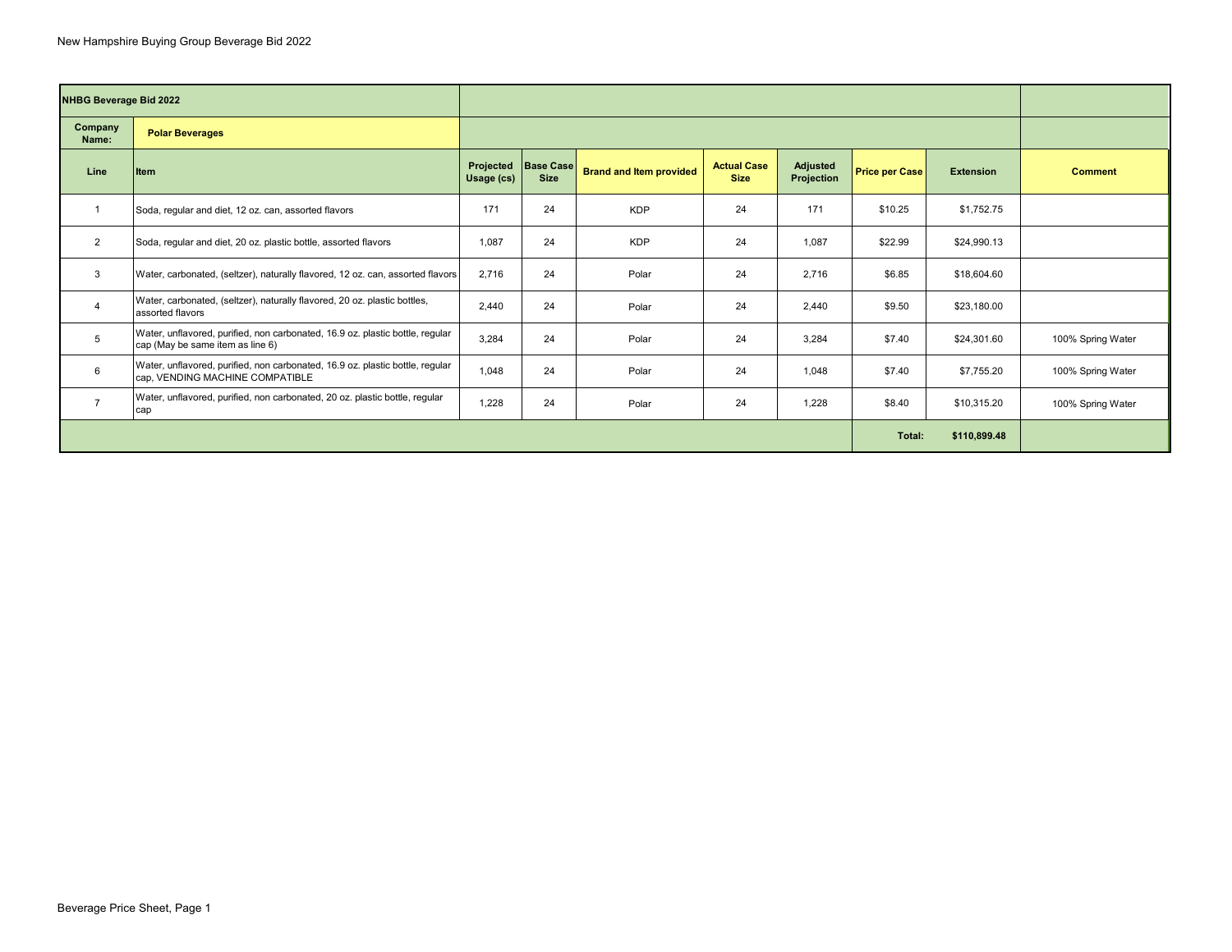| <b>NHBG Beverage Bid 2022</b> |                                                                                                                   |            |                                      |                                |                                   |                               |                       |                  |                   |  |  |
|-------------------------------|-------------------------------------------------------------------------------------------------------------------|------------|--------------------------------------|--------------------------------|-----------------------------------|-------------------------------|-----------------------|------------------|-------------------|--|--|
| Company<br>Name:              | <b>Polar Beverages</b>                                                                                            |            |                                      |                                |                                   |                               |                       |                  |                   |  |  |
| Line                          | Item                                                                                                              | Usage (cs) | Projected   Base Case<br><b>Size</b> | <b>Brand and Item provided</b> | <b>Actual Case</b><br><b>Size</b> | <b>Adjusted</b><br>Projection | <b>Price per Case</b> | <b>Extension</b> | <b>Comment</b>    |  |  |
| $\overline{1}$                | Soda, regular and diet, 12 oz. can, assorted flavors                                                              | 171        | 24                                   | <b>KDP</b>                     | 24                                | 171                           | \$10.25               | \$1,752.75       |                   |  |  |
| $\overline{2}$                | Soda, regular and diet, 20 oz. plastic bottle, assorted flavors                                                   | 1,087      | 24                                   | <b>KDP</b>                     | 24                                | 1,087                         | \$22.99               | \$24,990.13      |                   |  |  |
| $\mathbf{3}$                  | Water, carbonated, (seltzer), naturally flavored, 12 oz. can, assorted flavors                                    | 2.716      | 24                                   | Polar                          | 24                                | 2.716                         | \$6.85                | \$18,604.60      |                   |  |  |
| $\overline{4}$                | Water, carbonated, (seltzer), naturally flavored, 20 oz. plastic bottles,<br>assorted flavors                     | 2,440      | 24                                   | Polar                          | 24                                | 2,440                         | \$9.50                | \$23,180.00      |                   |  |  |
| 5                             | Water, unflavored, purified, non carbonated, 16.9 oz. plastic bottle, regular<br>cap (May be same item as line 6) | 3,284      | 24                                   | Polar                          | 24                                | 3,284                         | \$7.40                | \$24,301.60      | 100% Spring Water |  |  |
| 6                             | Water, unflavored, purified, non carbonated, 16.9 oz. plastic bottle, regular<br>cap, VENDING MACHINE COMPATIBLE  | 1,048      | 24                                   | Polar                          | 24                                | 1.048                         | \$7.40                | \$7,755.20       | 100% Spring Water |  |  |
| $\overline{7}$                | Water, unflavored, purified, non carbonated, 20 oz. plastic bottle, regular<br>cap                                | 1,228      | 24                                   | Polar                          | 24                                | 1,228                         | \$8.40                | \$10,315.20      | 100% Spring Water |  |  |
|                               |                                                                                                                   | Total:     | \$110,899.48                         |                                |                                   |                               |                       |                  |                   |  |  |